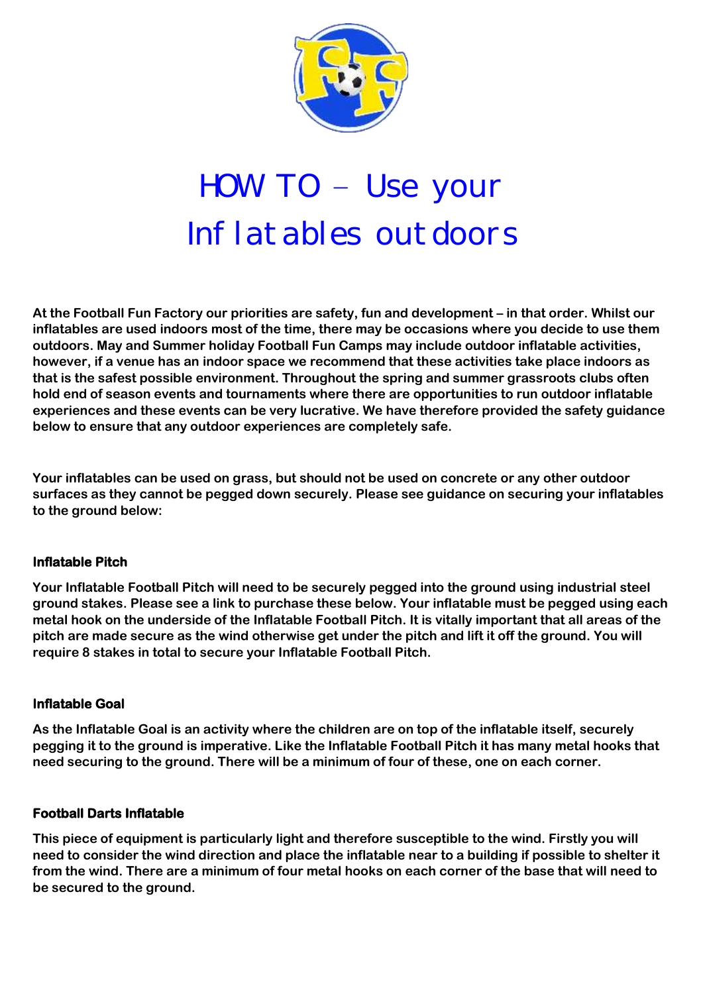

# HOW TO – Use your Inflatables outdoors

**At the Football Fun Factory our priorities are safety, fun and development – in that order. Whilst our inflatables are used indoors most of the time, there may be occasions where you decide to use them outdoors. May and Summer holiday Football Fun Camps may include outdoor inflatable activities, however, if a venue has an indoor space we recommend that these activities take place indoors as that is the safest possible environment. Throughout the spring and summer grassroots clubs often hold end of season events and tournaments where there are opportunities to run outdoor inflatable experiences and these events can be very lucrative. We have therefore provided the safety guidance below to ensure that any outdoor experiences are completely safe.**

**Your inflatables can be used on grass, but should not be used on concrete or any other outdoor surfaces as they cannot be pegged down securely. Please see guidance on securing your inflatables to the ground below:**

# **Inflatable Pitch**

**Your Inflatable Football Pitch will need to be securely pegged into the ground using industrial steel ground stakes. Please see a link to purchase these below. Your inflatable must be pegged using each metal hook on the underside of the Inflatable Football Pitch. It is vitally important that all areas of the pitch are made secure as the wind otherwise get under the pitch and lift it off the ground. You will require 8 stakes in total to secure your Inflatable Football Pitch.**

## **Inflatable Goal**

**As the Inflatable Goal is an activity where the children are on top of the inflatable itself, securely pegging it to the ground is imperative. Like the Inflatable Football Pitch it has many metal hooks that need securing to the ground. There will be a minimum of four of these, one on each corner.**

## **Football Darts Inflatable**

**This piece of equipment is particularly light and therefore susceptible to the wind. Firstly you will need to consider the wind direction and place the inflatable near to a building if possible to shelter it from the wind. There are a minimum of four metal hooks on each corner of the base that will need to be secured to the ground.**